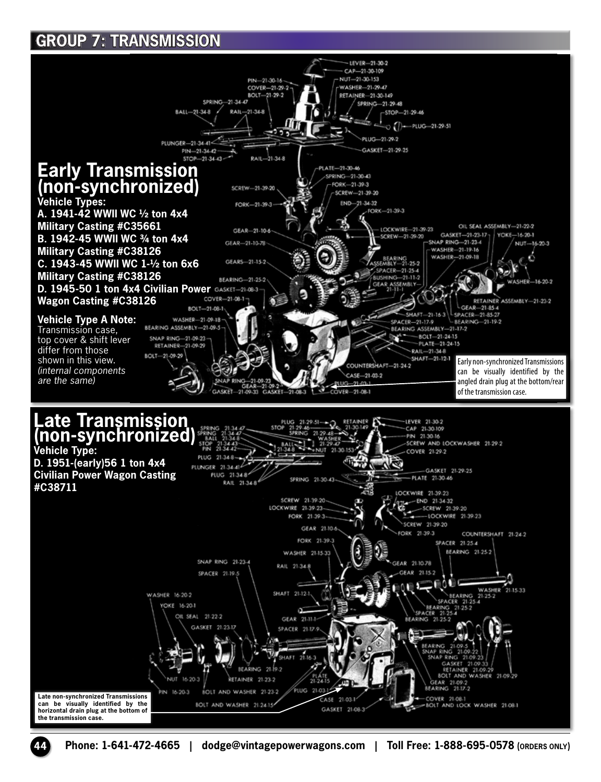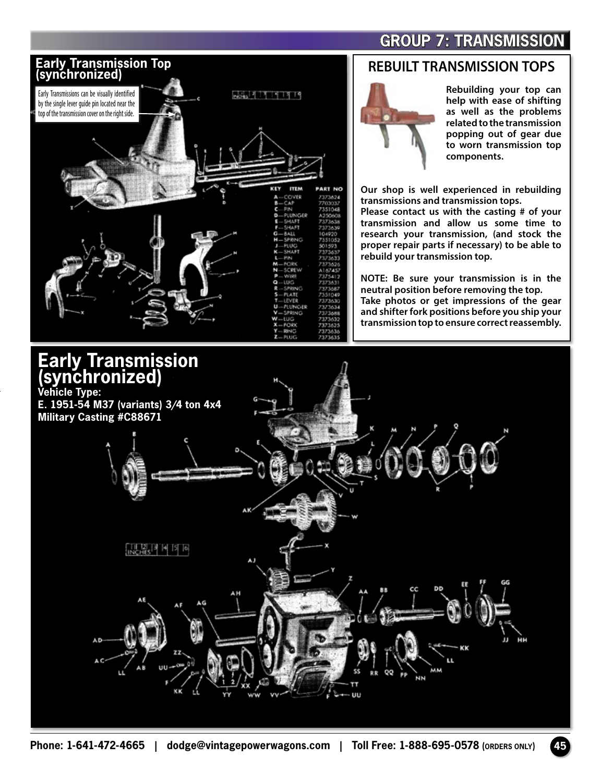

#### **REBUILT TRANSMISSION TOPS**



**Rebuilding your top can help with ease of shifting as well as the problems related to the transmission popping out of gear due to worn transmission top components.**

**Our shop is well experienced in rebuilding transmissions and transmission tops.** 

**Please contact us with the casting # of your transmission and allow us some time to research your transmission, (and stock the proper repair parts if necessary) to be able to rebuild your transmission top.**

**NOTE: Be sure your transmission is in the neutral position before removing the top. Take photos or get impressions of the gear and shifter fork positions before you ship your transmission top to ensure correct reassembly.**



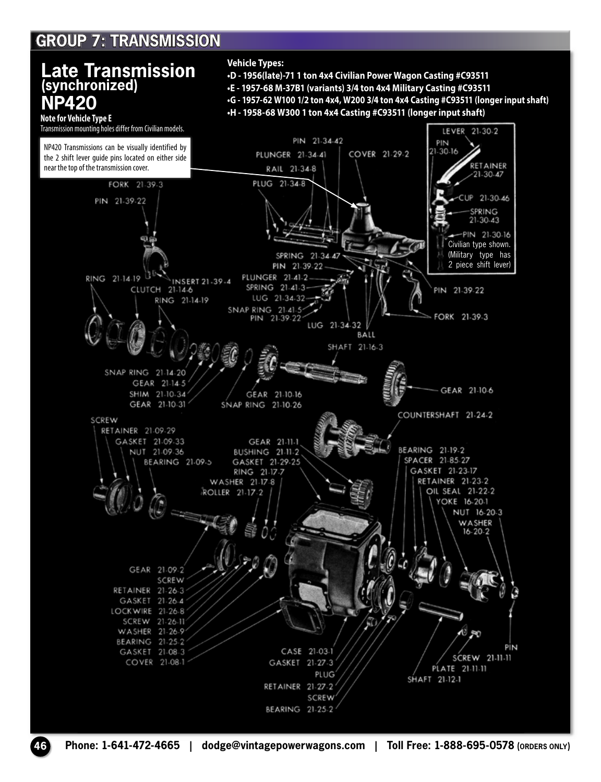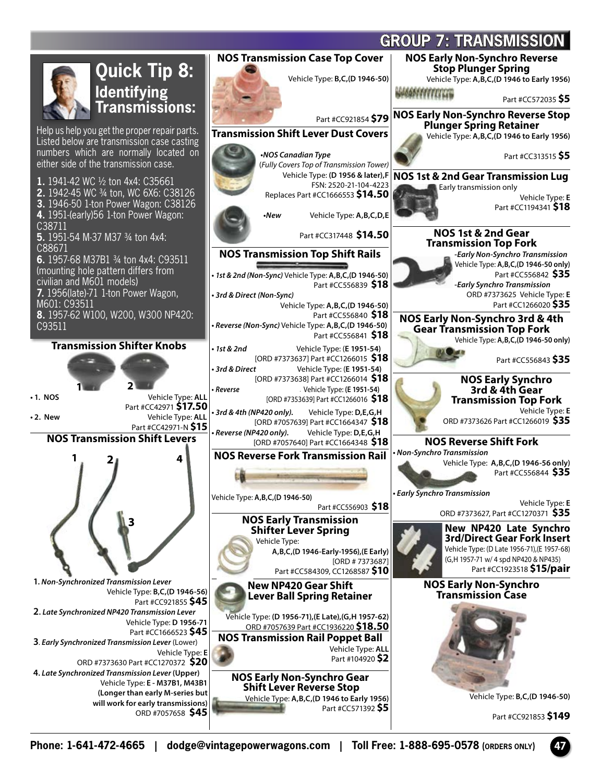

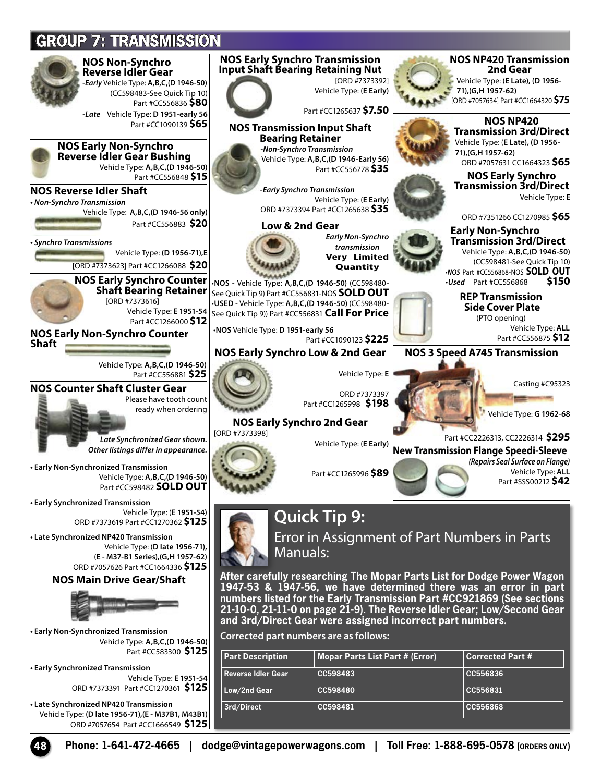

**• Early Synchronized Transmission**  Vehicle Type: **E 1951-54** ORD #7373391 Part #CC1270361 **\$125**

**• Late Synchronized NP420 Transmission**  Vehicle Type: **(D late 1956-71),(E - M37B1, M43B1)** ORD #7057654 Part #CC1666549 **\$125**

**Reverse Idler Gear CC598483 CC556836 Low/2nd Gear CC598480 CC556831 3rd/Direct CC598481 CC556868**

**48 Phone: 1-641-472-4665 | dodge@vintagepowerwagons.com | Toll Free: 1-888-695-0578 (ORDERS ONLY)**